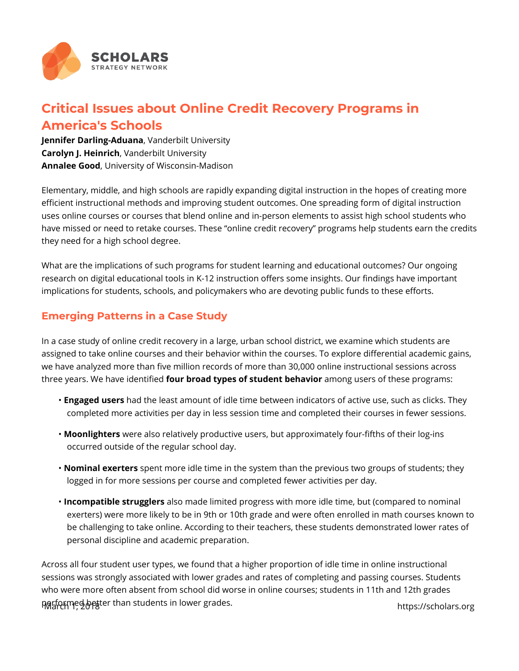

## **Critical Issues about Online Credit Recovery Programs in America's Schools**

**Jennifer Darling-Aduana**, Vanderbilt University **Carolyn J. Heinrich**, Vanderbilt University **Annalee Good**, University of Wisconsin-Madison

Elementary, middle, and high schools are rapidly expanding digital instruction in the hopes of creating more efficient instructional methods and improving student outcomes. One spreading form of digital instruction uses online courses or courses that blend online and in-person elements to assist high school students who have missed or need to retake courses. These "online credit recovery" programs help students earn the credits they need for a high school degree.

What are the implications of such programs for student learning and educational outcomes? Our ongoing research on digital educational tools in K-12 instruction offers some insights. Our findings have important implications for students, schools, and policymakers who are devoting public funds to these efforts.

## **Emerging Patterns in a Case Study**

In a case study of online credit recovery in a large, urban school district, we examine which students are assigned to take online courses and their behavior within the courses. To explore differential academic gains, we have analyzed more than five million records of more than 30,000 online instructional sessions across three years. We have identified **four broad types of student behavior** among users of these programs:

- **Engaged users** had the least amount of idle time between indicators of active use, such as clicks. They completed more activities per day in less session time and completed their courses in fewer sessions.
- **Moonlighters** were also relatively productive users, but approximately four-fifths of their log-ins occurred outside of the regular school day.
- **Nominal exerters** spent more idle time in the system than the previous two groups of students; they logged in for more sessions per course and completed fewer activities per day.
- **Incompatible strugglers** also made limited progress with more idle time, but (compared to nominal exerters) were more likely to be in 9th or 10th grade and were often enrolled in math courses known to be challenging to take online. According to their teachers, these students demonstrated lower rates of personal discipline and academic preparation.

Across all four student user types, we found that a higher proportion of idle time in online instructional sessions was strongly associated with lower grades and rates of completing and passing courses. Students who were more often absent from school did worse in online courses; students in 11th and 12th grades performed better than students in lower grades.<br>March 1, 2018 https://scholars.org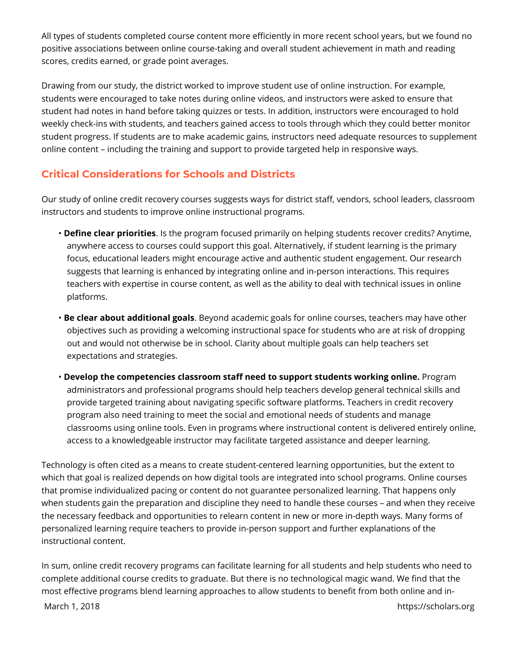All types of students completed course content more efficiently in more recent school years, but we found no positive associations between online course-taking and overall student achievement in math and reading scores, credits earned, or grade point averages.

Drawing from our study, the district worked to improve student use of online instruction. For example, students were encouraged to take notes during online videos, and instructors were asked to ensure that student had notes in hand before taking quizzes or tests. In addition, instructors were encouraged to hold weekly check-ins with students, and teachers gained access to tools through which they could better monitor student progress. If students are to make academic gains, instructors need adequate resources to supplement online content – including the training and support to provide targeted help in responsive ways.

## **Critical Considerations for Schools and Districts**

Our study of online credit recovery courses suggests ways for district staff, vendors, school leaders, classroom instructors and students to improve online instructional programs.

- **Define clear priorities**. Is the program focused primarily on helping students recover credits? Anytime, anywhere access to courses could support this goal. Alternatively, if student learning is the primary focus, educational leaders might encourage active and authentic student engagement. Our research suggests that learning is enhanced by integrating online and in-person interactions. This requires teachers with expertise in course content, as well as the ability to deal with technical issues in online platforms.
- **Be clear about additional goals**. Beyond academic goals for online courses, teachers may have other objectives such as providing a welcoming instructional space for students who are at risk of dropping out and would not otherwise be in school. Clarity about multiple goals can help teachers set expectations and strategies.
- **Develop the competencies classroom staff need to support students working online.** Program administrators and professional programs should help teachers develop general technical skills and provide targeted training about navigating specific software platforms. Teachers in credit recovery program also need training to meet the social and emotional needs of students and manage classrooms using online tools. Even in programs where instructional content is delivered entirely online, access to a knowledgeable instructor may facilitate targeted assistance and deeper learning.

Technology is often cited as a means to create student-centered learning opportunities, but the extent to which that goal is realized depends on how digital tools are integrated into school programs. Online courses that promise individualized pacing or content do not guarantee personalized learning. That happens only when students gain the preparation and discipline they need to handle these courses – and when they receive the necessary feedback and opportunities to relearn content in new or more in-depth ways. Many forms of personalized learning require teachers to provide in-person support and further explanations of the instructional content.

In sum, online credit recovery programs can facilitate learning for all students and help students who need to complete additional course credits to graduate. But there is no technological magic wand. We find that the most effective programs blend learning approaches to allow students to benefit from both online and in-

March 1, 2018 **https://scholars.org**